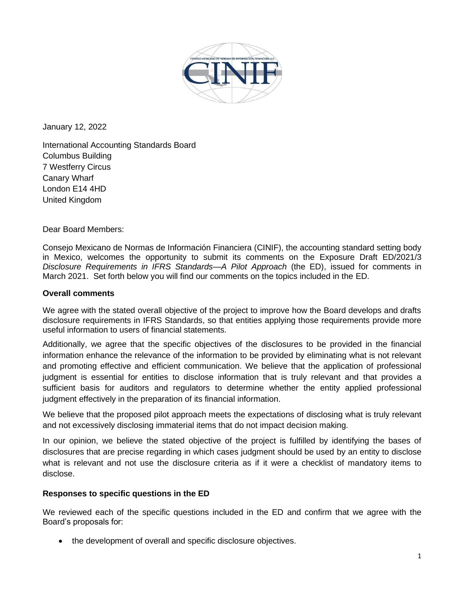

January 12, 2022

International Accounting Standards Board Columbus Building 7 Westferry Circus Canary Wharf London E14 4HD United Kingdom

Dear Board Members:

Consejo Mexicano de Normas de Información Financiera (CINIF), the accounting standard setting body in Mexico, welcomes the opportunity to submit its comments on the Exposure Draft ED/2021/3 *Disclosure Requirements in IFRS Standards—A Pilot Approach* (the ED), issued for comments in March 2021. Set forth below you will find our comments on the topics included in the ED.

## **Overall comments**

We agree with the stated overall objective of the project to improve how the Board develops and drafts disclosure requirements in IFRS Standards, so that entities applying those requirements provide more useful information to users of financial statements.

Additionally, we agree that the specific objectives of the disclosures to be provided in the financial information enhance the relevance of the information to be provided by eliminating what is not relevant and promoting effective and efficient communication. We believe that the application of professional judgment is essential for entities to disclose information that is truly relevant and that provides a sufficient basis for auditors and regulators to determine whether the entity applied professional judgment effectively in the preparation of its financial information.

We believe that the proposed pilot approach meets the expectations of disclosing what is truly relevant and not excessively disclosing immaterial items that do not impact decision making.

In our opinion, we believe the stated objective of the project is fulfilled by identifying the bases of disclosures that are precise regarding in which cases judgment should be used by an entity to disclose what is relevant and not use the disclosure criteria as if it were a checklist of mandatory items to disclose.

## **Responses to specific questions in the ED**

We reviewed each of the specific questions included in the ED and confirm that we agree with the Board's proposals for:

• the development of overall and specific disclosure objectives.